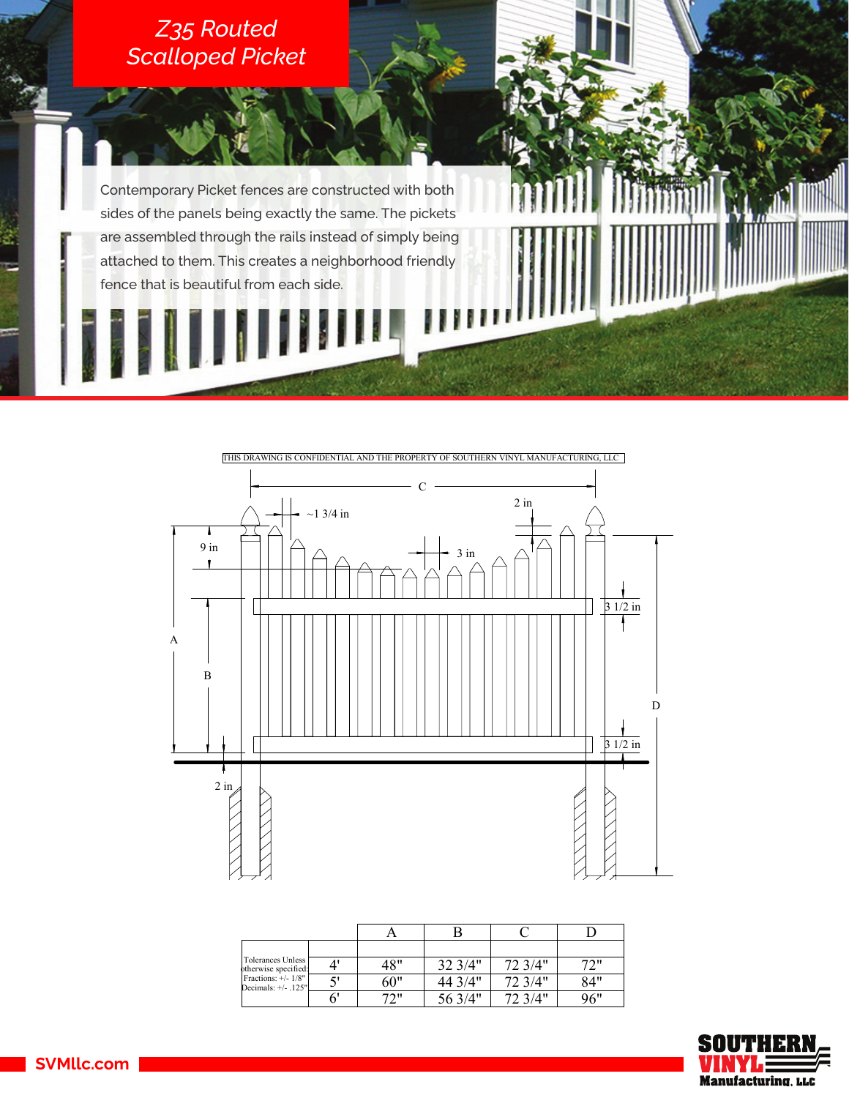## *Z35 Routed Scalloped Picket*

Contemporary Picket fences are constructed with both sides of the panels being exactly the same. The pickets are assembled through the rails instead of simply being attached to them. This creates a neighborhood friendly fence that is beautiful from each side.



| Tolerances Unless<br>otherwise specified:    |     |         |         |     |
|----------------------------------------------|-----|---------|---------|-----|
|                                              | 48" | 32 3/4" | 72 3/4" | ワつり |
| Fractions: $+/- 1/8"$<br>Decimals: +/- .125" | 60" | 44 3/4" | 72 3/4" | 84" |
|                                              | 72" | 56 3/4" | 72 3/4" | 96" |